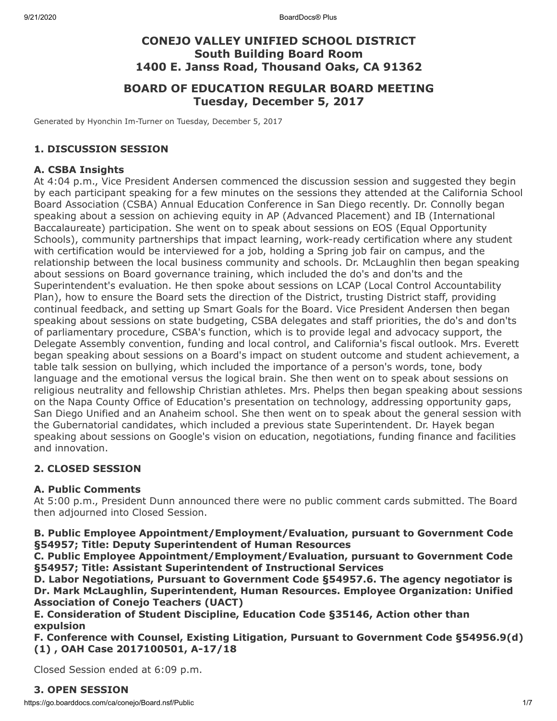# **CONEJO VALLEY UNIFIED SCHOOL DISTRICT South Building Board Room 1400 E. Janss Road, Thousand Oaks, CA 91362**

# **BOARD OF EDUCATION REGULAR BOARD MEETING Tuesday, December 5, 2017**

Generated by Hyonchin Im-Turner on Tuesday, December 5, 2017

### **1. DISCUSSION SESSION**

#### **A. CSBA Insights**

At 4:04 p.m., Vice President Andersen commenced the discussion session and suggested they begin by each participant speaking for a few minutes on the sessions they attended at the California School Board Association (CSBA) Annual Education Conference in San Diego recently. Dr. Connolly began speaking about a session on achieving equity in AP (Advanced Placement) and IB (International Baccalaureate) participation. She went on to speak about sessions on EOS (Equal Opportunity Schools), community partnerships that impact learning, work-ready certification where any student with certification would be interviewed for a job, holding a Spring job fair on campus, and the relationship between the local business community and schools. Dr. McLaughlin then began speaking about sessions on Board governance training, which included the do's and don'ts and the Superintendent's evaluation. He then spoke about sessions on LCAP (Local Control Accountability Plan), how to ensure the Board sets the direction of the District, trusting District staff, providing continual feedback, and setting up Smart Goals for the Board. Vice President Andersen then began speaking about sessions on state budgeting, CSBA delegates and staff priorities, the do's and don'ts of parliamentary procedure, CSBA's function, which is to provide legal and advocacy support, the Delegate Assembly convention, funding and local control, and California's fiscal outlook. Mrs. Everett began speaking about sessions on a Board's impact on student outcome and student achievement, a table talk session on bullying, which included the importance of a person's words, tone, body language and the emotional versus the logical brain. She then went on to speak about sessions on religious neutrality and fellowship Christian athletes. Mrs. Phelps then began speaking about sessions on the Napa County Office of Education's presentation on technology, addressing opportunity gaps, San Diego Unified and an Anaheim school. She then went on to speak about the general session with the Gubernatorial candidates, which included a previous state Superintendent. Dr. Hayek began speaking about sessions on Google's vision on education, negotiations, funding finance and facilities and innovation.

### **2. CLOSED SESSION**

### **A. Public Comments**

At 5:00 p.m., President Dunn announced there were no public comment cards submitted. The Board then adjourned into Closed Session.

**B. Public Employee Appointment/Employment/Evaluation, pursuant to Government Code §54957; Title: Deputy Superintendent of Human Resources**

**C. Public Employee Appointment/Employment/Evaluation, pursuant to Government Code §54957; Title: Assistant Superintendent of Instructional Services**

**D. Labor Negotiations, Pursuant to Government Code §54957.6. The agency negotiator is Dr. Mark McLaughlin, Superintendent, Human Resources. Employee Organization: Unified Association of Conejo Teachers (UACT)**

**E. Consideration of Student Discipline, Education Code §35146, Action other than expulsion**

**F. Conference with Counsel, Existing Litigation, Pursuant to Government Code §54956.9(d) (1) , OAH Case 2017100501, A-17/18**

Closed Session ended at 6:09 p.m.

### **3. OPEN SESSION**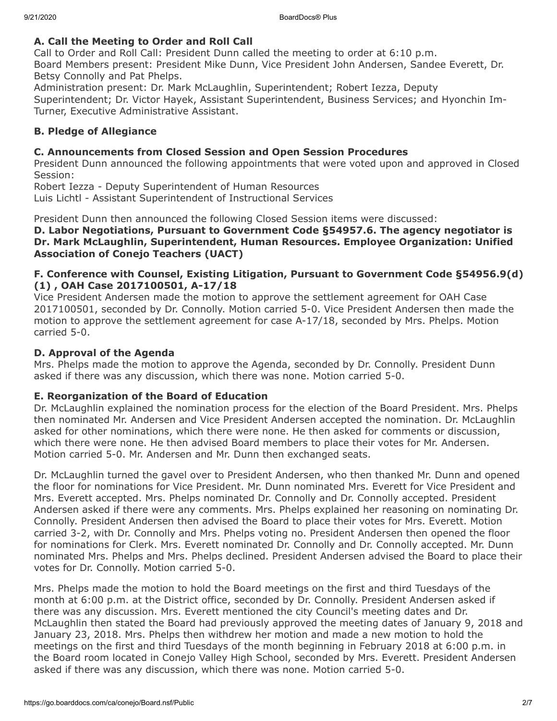## **A. Call the Meeting to Order and Roll Call**

Call to Order and Roll Call: President Dunn called the meeting to order at 6:10 p.m. Board Members present: President Mike Dunn, Vice President John Andersen, Sandee Everett, Dr. Betsy Connolly and Pat Phelps.

Administration present: Dr. Mark McLaughlin, Superintendent; Robert Iezza, Deputy Superintendent; Dr. Victor Hayek, Assistant Superintendent, Business Services; and Hyonchin Im-Turner, Executive Administrative Assistant.

## **B. Pledge of Allegiance**

### **C. Announcements from Closed Session and Open Session Procedures**

President Dunn announced the following appointments that were voted upon and approved in Closed Session:

Robert Iezza - Deputy Superintendent of Human Resources Luis Lichtl - Assistant Superintendent of Instructional Services

President Dunn then announced the following Closed Session items were discussed:

**D. Labor Negotiations, Pursuant to Government Code §54957.6. The agency negotiator is Dr. Mark McLaughlin, Superintendent, Human Resources. Employee Organization: Unified Association of Conejo Teachers (UACT)**

### **F. Conference with Counsel, Existing Litigation, Pursuant to Government Code §54956.9(d) (1) , OAH Case 2017100501, A-17/18**

Vice President Andersen made the motion to approve the settlement agreement for OAH Case 2017100501, seconded by Dr. Connolly. Motion carried 5-0. Vice President Andersen then made the motion to approve the settlement agreement for case A-17/18, seconded by Mrs. Phelps. Motion carried 5-0.

## **D. Approval of the Agenda**

Mrs. Phelps made the motion to approve the Agenda, seconded by Dr. Connolly. President Dunn asked if there was any discussion, which there was none. Motion carried 5-0.

### **E. Reorganization of the Board of Education**

Dr. McLaughlin explained the nomination process for the election of the Board President. Mrs. Phelps then nominated Mr. Andersen and Vice President Andersen accepted the nomination. Dr. McLaughlin asked for other nominations, which there were none. He then asked for comments or discussion, which there were none. He then advised Board members to place their votes for Mr. Andersen. Motion carried 5-0. Mr. Andersen and Mr. Dunn then exchanged seats.

Dr. McLaughlin turned the gavel over to President Andersen, who then thanked Mr. Dunn and opened the floor for nominations for Vice President. Mr. Dunn nominated Mrs. Everett for Vice President and Mrs. Everett accepted. Mrs. Phelps nominated Dr. Connolly and Dr. Connolly accepted. President Andersen asked if there were any comments. Mrs. Phelps explained her reasoning on nominating Dr. Connolly. President Andersen then advised the Board to place their votes for Mrs. Everett. Motion carried 3-2, with Dr. Connolly and Mrs. Phelps voting no. President Andersen then opened the floor for nominations for Clerk. Mrs. Everett nominated Dr. Connolly and Dr. Connolly accepted. Mr. Dunn nominated Mrs. Phelps and Mrs. Phelps declined. President Andersen advised the Board to place their votes for Dr. Connolly. Motion carried 5-0.

Mrs. Phelps made the motion to hold the Board meetings on the first and third Tuesdays of the month at 6:00 p.m. at the District office, seconded by Dr. Connolly. President Andersen asked if there was any discussion. Mrs. Everett mentioned the city Council's meeting dates and Dr. McLaughlin then stated the Board had previously approved the meeting dates of January 9, 2018 and January 23, 2018. Mrs. Phelps then withdrew her motion and made a new motion to hold the meetings on the first and third Tuesdays of the month beginning in February 2018 at 6:00 p.m. in the Board room located in Conejo Valley High School, seconded by Mrs. Everett. President Andersen asked if there was any discussion, which there was none. Motion carried 5-0.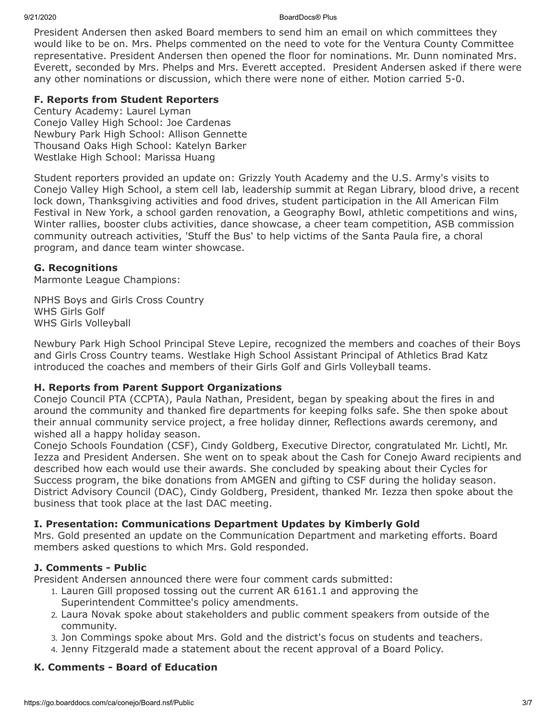President Andersen then asked Board members to send him an email on which committees they would like to be on. Mrs. Phelps commented on the need to vote for the Ventura County Committee representative. President Andersen then opened the floor for nominations. Mr. Dunn nominated Mrs. Everett, seconded by Mrs. Phelps and Mrs. Everett accepted. President Andersen asked if there were any other nominations or discussion, which there were none of either. Motion carried 5-0.

## **F. Reports from Student Reporters**

Century Academy: Laurel Lyman Conejo Valley High School: Joe Cardenas Newbury Park High School: Allison Gennette Thousand Oaks High School: Katelyn Barker Westlake High School: Marissa Huang

Student reporters provided an update on: Grizzly Youth Academy and the U.S. Army's visits to Conejo Valley High School, a stem cell lab, leadership summit at Regan Library, blood drive, a recent lock down, Thanksgiving activities and food drives, student participation in the All American Film Festival in New York, a school garden renovation, a Geography Bowl, athletic competitions and wins, Winter rallies, booster clubs activities, dance showcase, a cheer team competition, ASB commission community outreach activities, 'Stuff the Bus' to help victims of the Santa Paula fire, a choral program, and dance team winter showcase.

## **G. Recognitions**

Marmonte League Champions:

NPHS Boys and Girls Cross Country WHS Girls Golf WHS Girls Volleyball

Newbury Park High School Principal Steve Lepire, recognized the members and coaches of their Boys and Girls Cross Country teams. Westlake High School Assistant Principal of Athletics Brad Katz introduced the coaches and members of their Girls Golf and Girls Volleyball teams.

# **H. Reports from Parent Support Organizations**

Conejo Council PTA (CCPTA), Paula Nathan, President, began by speaking about the fires in and around the community and thanked fire departments for keeping folks safe. She then spoke about their annual community service project, a free holiday dinner, Reflections awards ceremony, and wished all a happy holiday season.

Conejo Schools Foundation (CSF), Cindy Goldberg, Executive Director, congratulated Mr. Lichtl, Mr. Iezza and President Andersen. She went on to speak about the Cash for Conejo Award recipients and described how each would use their awards. She concluded by speaking about their Cycles for Success program, the bike donations from AMGEN and gifting to CSF during the holiday season. District Advisory Council (DAC), Cindy Goldberg, President, thanked Mr. Iezza then spoke about the business that took place at the last DAC meeting.

# **I. Presentation: Communications Department Updates by Kimberly Gold**

Mrs. Gold presented an update on the Communication Department and marketing efforts. Board members asked questions to which Mrs. Gold responded.

### **J. Comments - Public**

President Andersen announced there were four comment cards submitted:

- 1. Lauren Gill proposed tossing out the current AR 6161.1 and approving the Superintendent Committee's policy amendments.
- 2. Laura Novak spoke about stakeholders and public comment speakers from outside of the community.
- 3. Jon Commings spoke about Mrs. Gold and the district's focus on students and teachers.
- 4. Jenny Fitzgerald made a statement about the recent approval of a Board Policy.

### **K. Comments - Board of Education**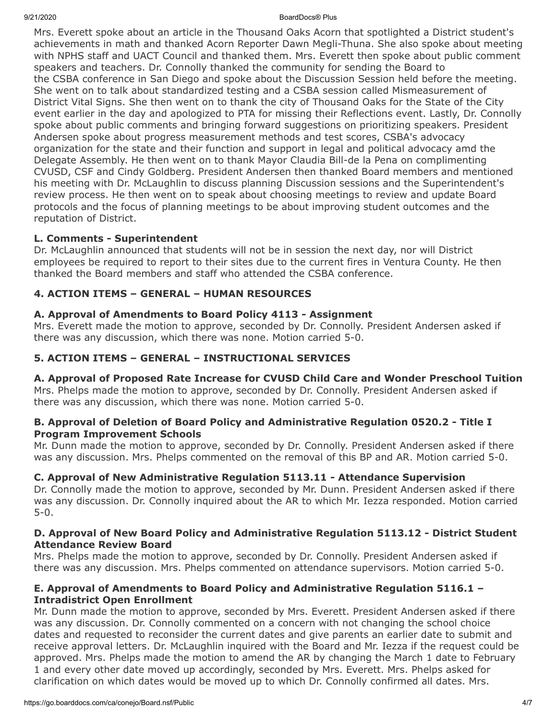Mrs. Everett spoke about an article in the Thousand Oaks Acorn that spotlighted a District student's achievements in math and thanked Acorn Reporter Dawn Megli-Thuna. She also spoke about meeting with NPHS staff and UACT Council and thanked them. Mrs. Everett then spoke about public comment speakers and teachers. Dr. Connolly thanked the community for sending the Board to the CSBA conference in San Diego and spoke about the Discussion Session held before the meeting. She went on to talk about standardized testing and a CSBA session called Mismeasurement of District Vital Signs. She then went on to thank the city of Thousand Oaks for the State of the City event earlier in the day and apologized to PTA for missing their Reflections event. Lastly, Dr. Connolly spoke about public comments and bringing forward suggestions on prioritizing speakers. President Andersen spoke about progress measurement methods and test scores, CSBA's advocacy organization for the state and their function and support in legal and political advocacy amd the Delegate Assembly. He then went on to thank Mayor Claudia Bill-de la Pena on complimenting CVUSD, CSF and Cindy Goldberg. President Andersen then thanked Board members and mentioned his meeting with Dr. McLaughlin to discuss planning Discussion sessions and the Superintendent's review process. He then went on to speak about choosing meetings to review and update Board protocols and the focus of planning meetings to be about improving student outcomes and the reputation of District.

## **L. Comments - Superintendent**

Dr. McLaughlin announced that students will not be in session the next day, nor will District employees be required to report to their sites due to the current fires in Ventura County. He then thanked the Board members and staff who attended the CSBA conference.

## **4. ACTION ITEMS – GENERAL – HUMAN RESOURCES**

### **A. Approval of Amendments to Board Policy 4113 - Assignment**

Mrs. Everett made the motion to approve, seconded by Dr. Connolly. President Andersen asked if there was any discussion, which there was none. Motion carried 5-0.

## **5. ACTION ITEMS – GENERAL – INSTRUCTIONAL SERVICES**

### **A. Approval of Proposed Rate Increase for CVUSD Child Care and Wonder Preschool Tuition**

Mrs. Phelps made the motion to approve, seconded by Dr. Connolly. President Andersen asked if there was any discussion, which there was none. Motion carried 5-0.

#### **B. Approval of Deletion of Board Policy and Administrative Regulation 0520.2 - Title I Program Improvement Schools**

Mr. Dunn made the motion to approve, seconded by Dr. Connolly. President Andersen asked if there was any discussion. Mrs. Phelps commented on the removal of this BP and AR. Motion carried 5-0.

### **C. Approval of New Administrative Regulation 5113.11 - Attendance Supervision**

Dr. Connolly made the motion to approve, seconded by Mr. Dunn. President Andersen asked if there was any discussion. Dr. Connolly inquired about the AR to which Mr. Iezza responded. Motion carried 5-0.

### **D. Approval of New Board Policy and Administrative Regulation 5113.12 - District Student Attendance Review Board**

Mrs. Phelps made the motion to approve, seconded by Dr. Connolly. President Andersen asked if there was any discussion. Mrs. Phelps commented on attendance supervisors. Motion carried 5-0.

### **E. Approval of Amendments to Board Policy and Administrative Regulation 5116.1 – Intradistrict Open Enrollment**

Mr. Dunn made the motion to approve, seconded by Mrs. Everett. President Andersen asked if there was any discussion. Dr. Connolly commented on a concern with not changing the school choice dates and requested to reconsider the current dates and give parents an earlier date to submit and receive approval letters. Dr. McLaughlin inquired with the Board and Mr. Iezza if the request could be approved. Mrs. Phelps made the motion to amend the AR by changing the March 1 date to February 1 and every other date moved up accordingly, seconded by Mrs. Everett. Mrs. Phelps asked for clarification on which dates would be moved up to which Dr. Connolly confirmed all dates. Mrs.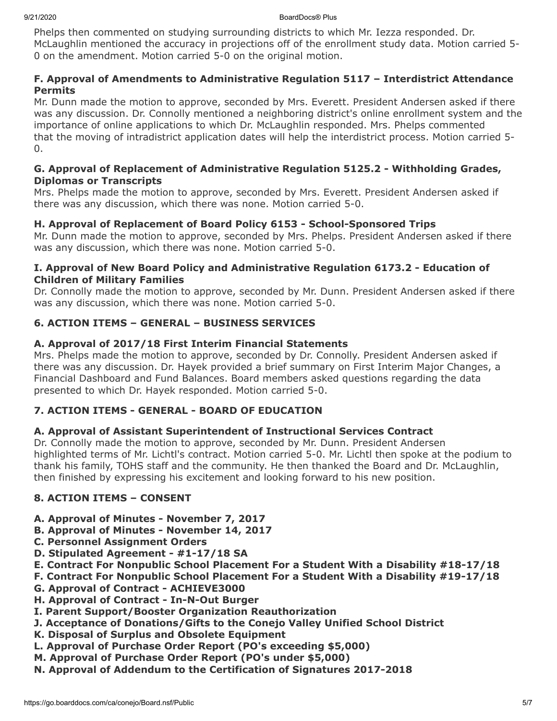Phelps then commented on studying surrounding districts to which Mr. Iezza responded. Dr. McLaughlin mentioned the accuracy in projections off of the enrollment study data. Motion carried 5- 0 on the amendment. Motion carried 5-0 on the original motion.

## **F. Approval of Amendments to Administrative Regulation 5117 – Interdistrict Attendance Permits**

Mr. Dunn made the motion to approve, seconded by Mrs. Everett. President Andersen asked if there was any discussion. Dr. Connolly mentioned a neighboring district's online enrollment system and the importance of online applications to which Dr. McLaughlin responded. Mrs. Phelps commented that the moving of intradistrict application dates will help the interdistrict process. Motion carried 5- 0.

## **G. Approval of Replacement of Administrative Regulation 5125.2 - Withholding Grades, Diplomas or Transcripts**

Mrs. Phelps made the motion to approve, seconded by Mrs. Everett. President Andersen asked if there was any discussion, which there was none. Motion carried 5-0.

# **H. Approval of Replacement of Board Policy 6153 - School-Sponsored Trips**

Mr. Dunn made the motion to approve, seconded by Mrs. Phelps. President Andersen asked if there was any discussion, which there was none. Motion carried 5-0.

## **I. Approval of New Board Policy and Administrative Regulation 6173.2 - Education of Children of Military Families**

Dr. Connolly made the motion to approve, seconded by Mr. Dunn. President Andersen asked if there was any discussion, which there was none. Motion carried 5-0.

# **6. ACTION ITEMS – GENERAL – BUSINESS SERVICES**

# **A. Approval of 2017/18 First Interim Financial Statements**

Mrs. Phelps made the motion to approve, seconded by Dr. Connolly. President Andersen asked if there was any discussion. Dr. Hayek provided a brief summary on First Interim Major Changes, a Financial Dashboard and Fund Balances. Board members asked questions regarding the data presented to which Dr. Hayek responded. Motion carried 5-0.

# **7. ACTION ITEMS - GENERAL - BOARD OF EDUCATION**

# **A. Approval of Assistant Superintendent of Instructional Services Contract**

Dr. Connolly made the motion to approve, seconded by Mr. Dunn. President Andersen highlighted terms of Mr. Lichtl's contract. Motion carried 5-0. Mr. Lichtl then spoke at the podium to thank his family, TOHS staff and the community. He then thanked the Board and Dr. McLaughlin, then finished by expressing his excitement and looking forward to his new position.

# **8. ACTION ITEMS – CONSENT**

- **A. Approval of Minutes November 7, 2017**
- **B. Approval of Minutes November 14, 2017**
- **C. Personnel Assignment Orders**
- **D. Stipulated Agreement #1-17/18 SA**
- **E. Contract For Nonpublic School Placement For a Student With a Disability #18-17/18**
- **F. Contract For Nonpublic School Placement For a Student With a Disability #19-17/18**
- **G. Approval of Contract ACHIEVE3000**
- **H. Approval of Contract In-N-Out Burger**
- **I. Parent Support/Booster Organization Reauthorization**
- **J. Acceptance of Donations/Gifts to the Conejo Valley Unified School District**
- **K. Disposal of Surplus and Obsolete Equipment**
- **L. Approval of Purchase Order Report (PO's exceeding \$5,000)**
- **M. Approval of Purchase Order Report (PO's under \$5,000)**
- **N. Approval of Addendum to the Certification of Signatures 2017-2018**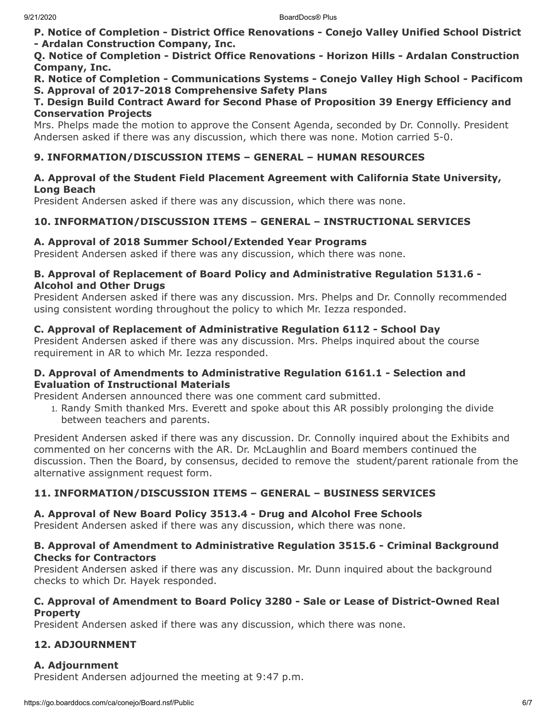**P. Notice of Completion - District Office Renovations - Conejo Valley Unified School District - Ardalan Construction Company, Inc.**

**Q. Notice of Completion - District Office Renovations - Horizon Hills - Ardalan Construction Company, Inc.**

**R. Notice of Completion - Communications Systems - Conejo Valley High School - Pacificom S. Approval of 2017-2018 Comprehensive Safety Plans**

#### **T. Design Build Contract Award for Second Phase of Proposition 39 Energy Efficiency and Conservation Projects**

Mrs. Phelps made the motion to approve the Consent Agenda, seconded by Dr. Connolly. President Andersen asked if there was any discussion, which there was none. Motion carried 5-0.

# **9. INFORMATION/DISCUSSION ITEMS – GENERAL – HUMAN RESOURCES**

#### **A. Approval of the Student Field Placement Agreement with California State University, Long Beach**

President Andersen asked if there was any discussion, which there was none.

## **10. INFORMATION/DISCUSSION ITEMS – GENERAL – INSTRUCTIONAL SERVICES**

### **A. Approval of 2018 Summer School/Extended Year Programs**

President Andersen asked if there was any discussion, which there was none.

#### **B. Approval of Replacement of Board Policy and Administrative Regulation 5131.6 - Alcohol and Other Drugs**

President Andersen asked if there was any discussion. Mrs. Phelps and Dr. Connolly recommended using consistent wording throughout the policy to which Mr. Iezza responded.

### **C. Approval of Replacement of Administrative Regulation 6112 - School Day**

President Andersen asked if there was any discussion. Mrs. Phelps inquired about the course requirement in AR to which Mr. Iezza responded.

### **D. Approval of Amendments to Administrative Regulation 6161.1 - Selection and Evaluation of Instructional Materials**

President Andersen announced there was one comment card submitted.

1. Randy Smith thanked Mrs. Everett and spoke about this AR possibly prolonging the divide between teachers and parents.

President Andersen asked if there was any discussion. Dr. Connolly inquired about the Exhibits and commented on her concerns with the AR. Dr. McLaughlin and Board members continued the discussion. Then the Board, by consensus, decided to remove the student/parent rationale from the alternative assignment request form.

# **11. INFORMATION/DISCUSSION ITEMS – GENERAL – BUSINESS SERVICES**

### **A. Approval of New Board Policy 3513.4 - Drug and Alcohol Free Schools**

President Andersen asked if there was any discussion, which there was none.

### **B. Approval of Amendment to Administrative Regulation 3515.6 - Criminal Background Checks for Contractors**

President Andersen asked if there was any discussion. Mr. Dunn inquired about the background checks to which Dr. Hayek responded.

### **C. Approval of Amendment to Board Policy 3280 - Sale or Lease of District-Owned Real Property**

President Andersen asked if there was any discussion, which there was none.

# **12. ADJOURNMENT**

# **A. Adjournment**

President Andersen adjourned the meeting at 9:47 p.m.